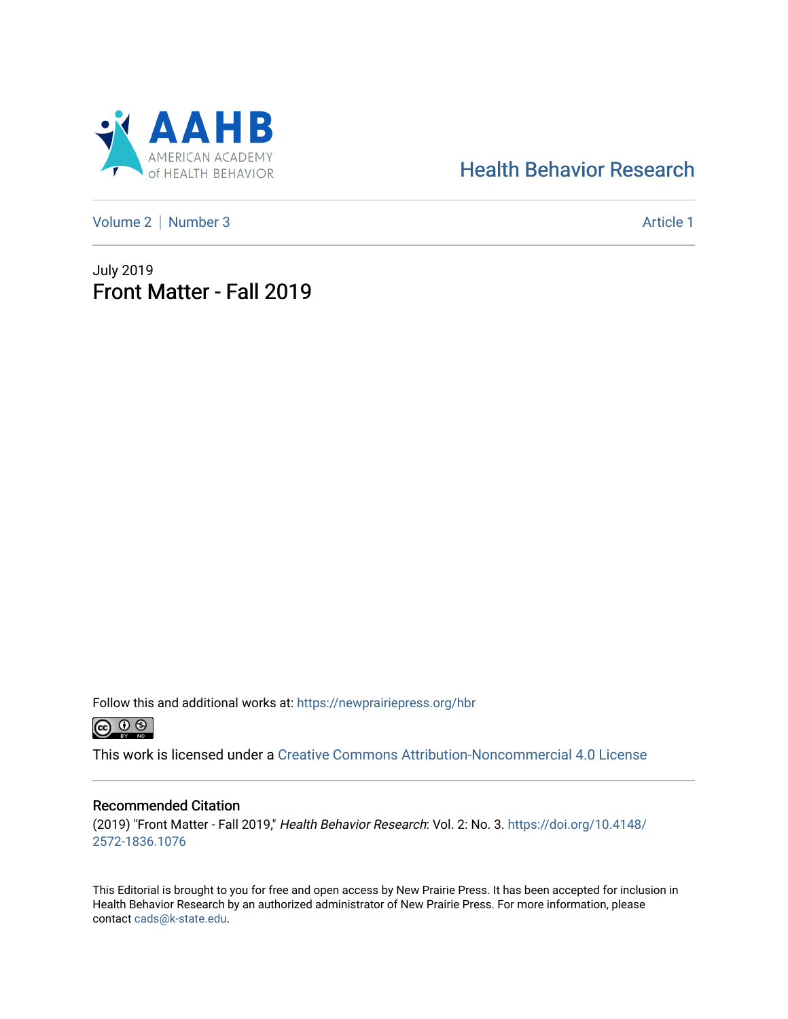

# [Health Behavior Research](https://newprairiepress.org/hbr)

[Volume 2](https://newprairiepress.org/hbr/vol2) | [Number 3](https://newprairiepress.org/hbr/vol2/iss3) Article 1

July 2019 Front Matter - Fall 2019

Follow this and additional works at: [https://newprairiepress.org/hbr](https://newprairiepress.org/hbr?utm_source=newprairiepress.org%2Fhbr%2Fvol2%2Fiss3%2F1&utm_medium=PDF&utm_campaign=PDFCoverPages) 



This work is licensed under a [Creative Commons Attribution-Noncommercial 4.0 License](https://creativecommons.org/licenses/by-nc/4.0/)

### Recommended Citation

(2019) "Front Matter - Fall 2019," Health Behavior Research: Vol. 2: No. 3. [https://doi.org/10.4148/](https://doi.org/10.4148/2572-1836.1076) [2572-1836.1076](https://doi.org/10.4148/2572-1836.1076) 

This Editorial is brought to you for free and open access by New Prairie Press. It has been accepted for inclusion in Health Behavior Research by an authorized administrator of New Prairie Press. For more information, please contact [cads@k-state.edu](mailto:cads@k-state.edu).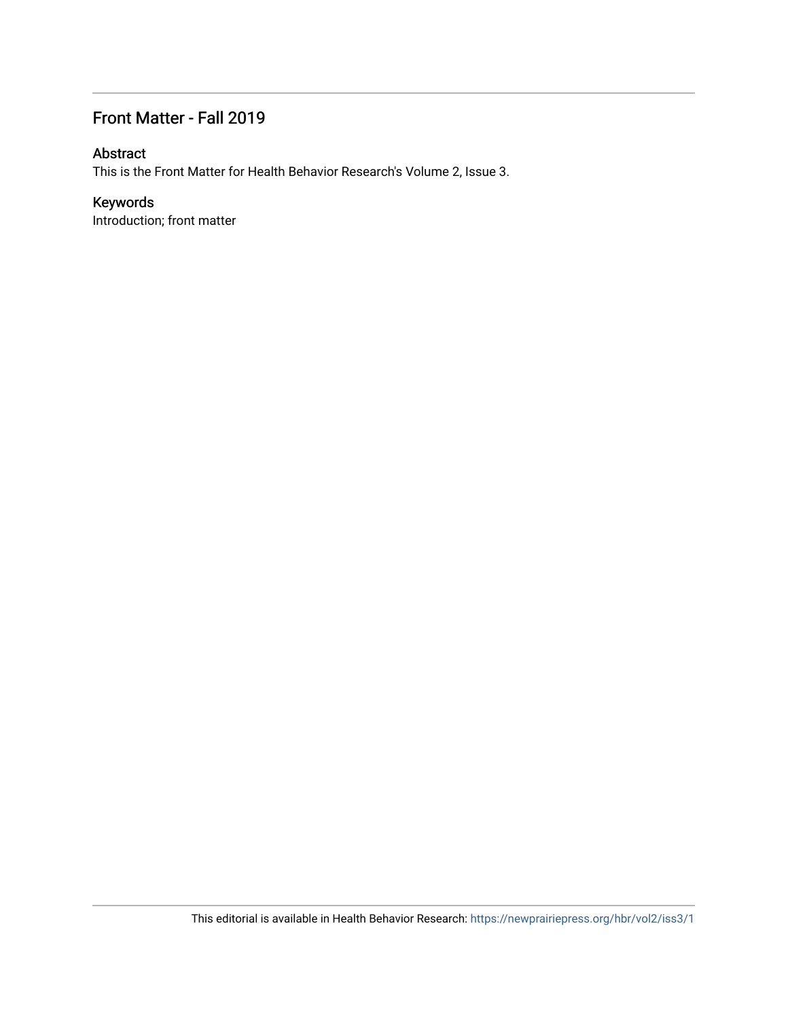# Front Matter - Fall 2019

### Abstract

This is the Front Matter for Health Behavior Research's Volume 2, Issue 3.

### Keywords

Introduction; front matter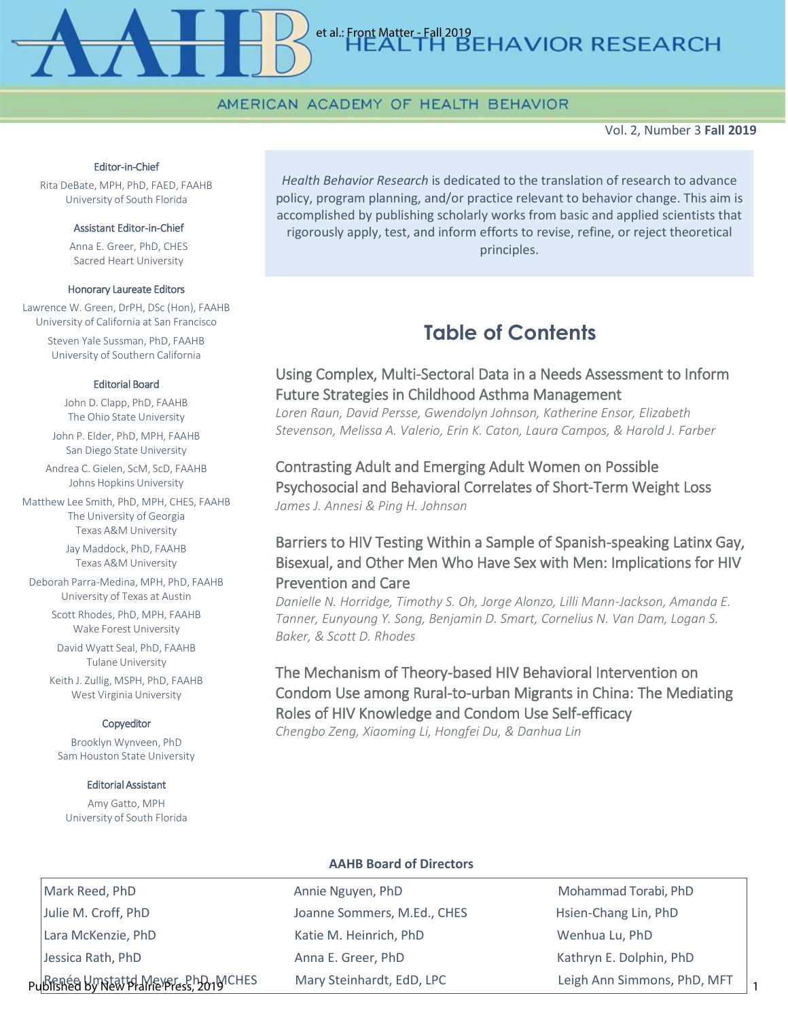## AMERICAN ACADEMY OF HEALTH BEHAVIOR

Vol. 2, Number 3 **Fall 2019**

#### Editor-in-Chief

Rita DeBate, MPH, PhD, FAED, FAAHB University of South Florida

#### Assistant Editor-in-Chief

Anna E. Greer, PhD, CHES Sacred Heart University

#### Honorary Laureate Editors

Lawrence W. Green, DrPH, DSc (Hon), FAAHB University of California at San Francisco Steven Yale Sussman, PhD, FAAHB University of Southern California

#### Editorial Board

John D. Clapp, PhD, FAAHB The Ohio State University

John P. Elder, PhD, MPH, FAAHB San Diego State University

Andrea C. Gielen, ScM, ScD, FAAHB Johns Hopkins University

Matthew Lee Smith, PhD, MPH, CHES, FAAHB The University of Georgia Texas A&M University

> Jay Maddock, PhD, FAAHB Texas A&M University

Deborah Parra-Medina, MPH, PhD, FAAHB University of Texas at Austin

> Scott Rhodes, PhD, MPH, FAAHB Wake Forest University

David Wyatt Seal, PhD, FAAHB Tulane University

Keith J. Zullig, MSPH, PhD, FAAHB West Virginia University

#### Copyeditor

Brooklyn Wynveen, PhD Sam Houston State University

#### Editorial Assistant

Amy Gatto, MPH University of South Florida

*Health Behavior Research* is dedicated to the translation of research to advance policy, program planning, and/or practice relevant to behavior change. This aim is accomplished by publishing scholarly works from basic and applied scientists that rigorously apply, test, and inform efforts to revise, refine, or reject theoretical principles.

et al.: Front Matter - Fall 2019<br>
HEAL TH BEHAVIOR RESEARCH

# **Table of Contents**

## Using Complex, Multi-Sectoral Data in a Needs Assessment to Inform Future Strategies in Childhood Asthma Management

*Loren Raun, David Persse, Gwendolyn Johnson, Katherine Ensor, Elizabeth Stevenson, Melissa A. Valerio, Erin K. Caton, Laura Campos, & Harold J. Farber*

## Contrasting Adult and Emerging Adult Women on Possible Psychosocial and Behavioral Correlates of Short-Term Weight Loss *James J. Annesi & Ping H. Johnson*

## Barriers to HIV Testing Within a Sample of Spanish-speaking Latinx Gay, Bisexual, and Other Men Who Have Sex with Men: Implications for HIV Prevention and Care

*Danielle N. Horridge, Timothy S. Oh, Jorge Alonzo, Lilli Mann-Jackson, Amanda E. Tanner, Eunyoung Y. Song, Benjamin D. Smart, Cornelius N. Van Dam, Logan S. Baker, & Scott D. Rhodes*

# The Mechanism of Theory-based HIV Behavioral Intervention on Condom Use among Rural-to-urban Migrants in China: The Mediating Roles of HIV Knowledge and Condom Use Self-efficacy

*Chengbo Zeng, Xiaoming Li, Hongfei Du, & Danhua Lin*

### **AAHB Board of Directors**

Mark Reed, PhD **Annie Nguyen, PhD** Annie Nguyen, PhD Mohammad Torabi, PhD Julie M. Croff, PhD **Sommers, M.Ed., CHES** Hsien-Chang Lin, PhD Lara McKenzie, PhD Katie M. Heinrich, PhD Wenhua Lu, PhD Jessica Rath, PhD Anna E. Greer, PhD Kathryn E. Dolphin, PhD Publishéd by New Player, ይከታል MCHES Mary Steinhardt, EdD, LPC Mary Leigh Ann Simmons, PhD, MFT | <sub>1</sub>